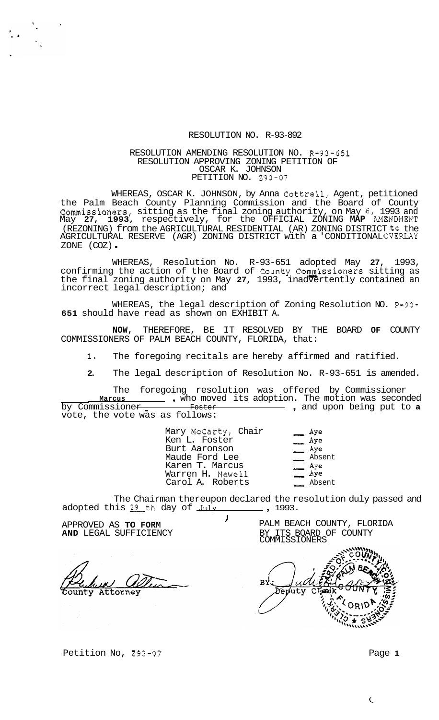## RESOLUTION NO. R-93-892

## RESOLUTION AMENDING RESOLUTION NO. R-93-651 RESOLUTION APPROVING ZONING PETITION OF OSCAR K. JOHNSON PETITION NO. 293-07

WHEREAS, OSCAR K. JOHNSON, by Anna Cottrell, Agent, petitioned the Palm Beach County Planning Commission and the Board of County Commissioners, sitting as the final zoning authority, on May 6, 1993 and May **27, 1993,** respectively, for the OFFICIAL ZONING **MAP** AMENDMENT (REZONING) from the AGRICULTURAL RESIDENTIAL (AR) ZONING DISTRICT to the AGRICULTURAL RESERVE (AGR) ZONING DISTRICT with a 'CONDITIONALOVERLAY<br>ZONE (COZ) -

WHEREAS, Resolution No. R-93-651 adopted May **27,** 1993, confirming the action of the Board of County Commissioners sitting as the final zoning authority on May **27,** 1993, inadvertently contained an incorrect legal description; and

WHEREAS, the legal description of Zoning Resolution NO. R-93- **651** should have read as shown on EXHIBIT A.

**NOW,** THEREFORE, BE IT RESOLVED BY THE BOARD **OF** COUNTY COMMISSIONERS OF PALM BEACH COUNTY, FLORIDA, that:

**1.** The foregoing recitals are hereby affirmed and ratified.

**2.** The legal description of Resolution No. R-93-651 is amended.

The foregoing resolution was offered by Commissioner<br>warcus - who moved its adoption. The motion was second The foregoing resolution was offered by Commissioner<br>Marcus \_\_\_\_\_\_\_ , who moved its adoption. The motion was seconded <u>Marcus entries was marcus</u> , who moved its adoption. The motion was seconded by Commissioner **a**<br>by Commissioner **and internal contract to the conduct** , and upon being put to **a** vote, the vote was as follows: - , and upon being put to **a** 

| s tollows:                                                                                                                         |                                                                       |
|------------------------------------------------------------------------------------------------------------------------------------|-----------------------------------------------------------------------|
| Mary McCarty, Chair<br>Ken L. Foster<br>Burt Aaronson<br>Maude Ford Lee<br>Karen T. Marcus<br>Warren H. Newell<br>Carol A. Roberts | Aye<br>$\frac{1}{\sqrt{2}}$ Aye<br>Aye<br>Absent<br>$-$ Aye<br>Absent |

The Chairman thereupon declared the resolution duly passed and adopted this <u>29</u> th day of July **,** 1993.

APPROVED AS **TO FORM** 

Attorney

AND LEGAL SUFFICIENCY BY ITS BOARD OF COUNTY ) PALM BEACH COUNTY, FLORIDA COMMISSIONERS

BY. Deu uty

Petition No, 293-07 **Page 1**